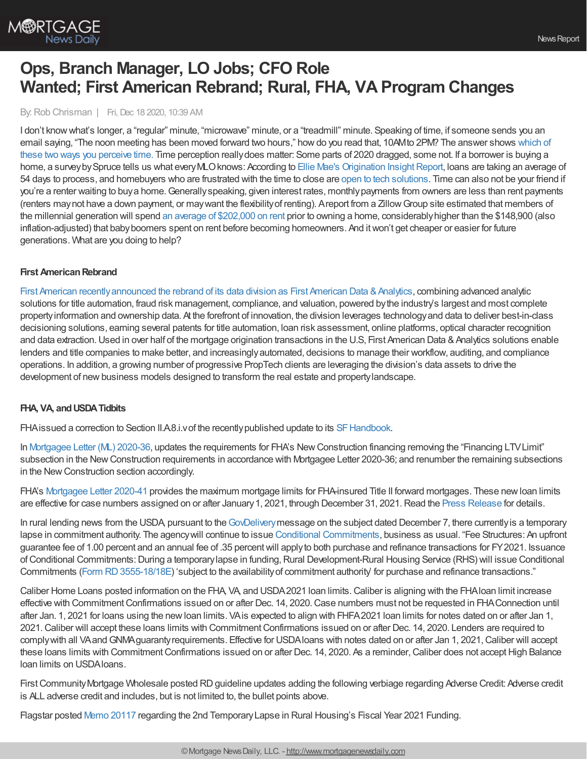By:Rob Chrisman | Fri, Dec 18 2020, 10:39 AM

I don't knowwhat's longer, a "regular" minute, "microwave" minute, or a "treadmill" minute. Speaking of time, if someone sends you an email saying, "The noon meeting has been moved forward two hours," howdo you read that, 10AMto 2PM? The answer shows which of these two ways you perceive time. Time perception [reallydoes](https://www.youtube.com/watch?v=5b0Nn9jE5Hc&feature=youtu.be) matter: Some parts of 2020 dragged, some not. If a borrower is buying a home, a survey by Spruce tells us what every MLO knows: According to Ellie Mae's Origination Insight Report, Ioans are taking an average of 54 days to process, and homebuyers who are frustrated with the time to close are open to tech [solutions](https://www.prnewswire.com/news-releases/new-survey-shows-homebuyers-frustrated-with-time-to-close-open-to-tech-solutions-301194676.html). Time can also not be your friend if you're a renter waiting to buya home.Generallyspeaking, given interest rates, monthlypayments from owners are less than rent payments (renters maynot have a down payment, or maywant the flexibilityof renting). Areport from a ZillowGroup site estimated that members of the millennial generation will spend an average of [\\$202,000](https://www.businessinsider.com/how-much-millennials-gen-z-renters-spend-expensive-cities-2018-5) on rent prior to owning a home, considerablyhigher than the \$148,900 (also inflation-adjusted) that babyboomers spent on rent before becoming homeowners. And itwon't get cheaper or easier for future generations. What are you doing to help?

## **First AmericanRebrand**

First American recently announced the rebrand of its data division as First American Data & Analytics, combining advanced analytic solutions for title automation, fraud risk management, compliance, and valuation, powered bythe industry's largest and most complete propertyinformation and ownership data. At the forefront of innovation, the division leverages technologyand data to deliver best-in-class decisioning solutions, earning several patents for title automation, loan risk assessment, online platforms, optical character recognition and data extraction. Used in over half of the mortgage origination transactions in the U.S, First American Data & Analytics solutions enable lenders and title companies to make better, and increasinglyautomated, decisions to manage their workflow, auditing, and compliance operations. In addition, a growing number of progressive PropTech clients are leveraging the division's data assets to drive the development of new business models designed to transform the real estate and property landscape.

## **FHA, VA, andUSDATidbits**

FHA issued a correction to Section II.A8.i.v of the recently published update to its SF Handbook.

In [Mortgagee](https://www.hud.gov/sites/dfiles/OCHCO/documents/2020-36hsgml.pdf) Letter (ML) 2020-36, updates the requirements for FHA's New Construction financing removing the "Financing LTV Limit" subsection in the NewConstruction requirements in accordance with Mortgagee Letter 2020-36; and renumber the remaining subsections in the New Construction section accordingly.

FHA's [Mortgagee](https://www.hud.gov/sites/dfiles/OCHCO/documents/2020-41hsgml.pdf) Letter 2020-41 provides the maximum mortgage limits for FHA-insured Title II forward mortgages. These new loan limits are effective for case numbers assigned on or after January 1, 2021, through December 31, 2021. Read the Press [Release](https://www.hud.gov/press/press_releases_media_advisories/HUD_No_20_201) for details.

In rural lending news from the USDA, pursuant to the [GovDelivery](https://content.govdelivery.com/accounts/USDARD/bulletins/2b09b92) message on the subject dated December 7, there currently is a temporary lapse in commitment authority. The agencywill continue to issue Conditional [Commitments](https://www.rd.usda.gov/programs-services/single-family-housing-guaranteed-loan-program), business as usual. "Fee Structures: An upfront guarantee fee of 1.00 percent and an annual fee of .35 percentwill applyto both purchase and refinance transactions for FY2021. Issuance of Conditional Commitments: During a temporary lapse in funding, Rural Development-Rural Housing Service (RHS) will issue Conditional Commitments (Form [RD3555-18/18E](https://rd.usda.gov/files/RD-SFH-ConditionalCommitment1.pdf)) 'subject to the availabilityof commitment authority' for purchase and refinance transactions."

Caliber Home Loans posted information on the FHA, VA, and USDA2021 loan limits.Caliber is aligning with the FHAloan limit increase effective with Commitment Confirmations issued on or after Dec. 14, 2020. Case numbers must not be requested in FHA Connection until after Jan. 1, 2021 for loans using the new loan limits. VA is expected to align with FHFA 2021 loan limits for notes dated on or after Jan 1, 2021.Caliber will accept these loans limits with CommitmentConfirmations issued on or after Dec. 14, 2020. Lenders are required to comply with all VAand GNMA guaranty requirements. Effective for USDA loans with notes dated on or after Jan 1, 2021, Caliber will accept these loans limits with Commitment Confirmations issued on or after Dec. 14, 2020. As a reminder, Caliber does not accept High Balance loan limits on USDAloans.

First Community Mortgage Wholesale posted RD guideline updates adding the following verbiage regarding Adverse Credit: Adverse credit is ALL adverse credit and includes, but is not limited to, the bullet points above.

Flagstar posted Memo [20117](https://www.flagstar.com/content/dam/tpo/sellers-guide/announcements/20117.pdf) regarding the 2nd TemporaryLapse in Rural Housing's Fiscal Year 2021 Funding.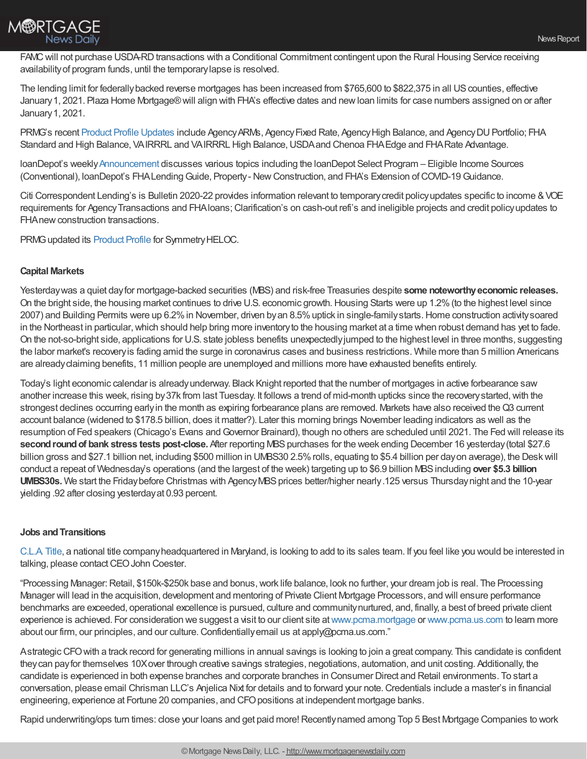

FAMC will not purchase USDA-RD transactions with a Conditional Commitment contingent upon the Rural Housing Service receiving availabilityof program funds, until the temporarylapse is resolved.

The lending limit for federallybacked reverse mortgages has been increased from \$765,600 to \$822,375 in all UScounties, effective January 1, 2021. Plaza Home Mortgage® will align with FHA's effective dates and new loan limits for case numbers assigned on or after January1, 2021.

PRMG's recent Product Profile [Updates](https://www.eprmg.net/guidelines/Product%20Profile%20Updates.pdf) include Agency ARMs, Agency Fixed Rate, Agency High Balance, and Agency DU Portfolio; FHA Standard and High Balance, VAIRRRL and VAIRRRL High Balance, USDA and Chenoa FHA Edge and FHA Rate Advantage.

loanDepot's weekly[Announcement](http://ld.ldwholesale.com/ls/click?upn=aYbu09plc4IntLDN6X2n-2BhqGvvlzjEqZuSmWj4xK3Ta6aMRD36dd356kQDqJgf15zMivnUyv5kJEVF-2F-2B2ThfqzWfh8mX2h9sI7FADAT3cYdqe9J-2BtvnIbNqX8Q0hu1EuY1zc_nsxRNYUkMXYB3IyH-2Bw28TYELoM9YpzOtXrrlppkfzFjGpZbwd0bLMcf2RIKlkpDjIKT75vwgxwz07GbXFMs8t2dxmWq4fIcJOWFGHBmrxfd9SAgsqQ0EvJylaMh1o5hTIsDV3l8U7NpzrGRNvGu1VU81yC1hq6Ectj2C2Xiq58nagXqJNkaPGcpSJ-2BlvDb19tx8g9yJ5iKW8QqOA-2BgG0EeSrkvcmqAGrCqaKOPSAn-2BwDVn1I6iewcazXNmmz0xUVWNzwJcLVgcnSdNybojMITKvltjQ1IMiIgiDVAHcil7jYLRawXnvHZ3Q7nPryGhvrnRaNzRmiPTIakSbmT4gxuA07X85MF-2Fi5jeYavooccNAt23ziq2tMd9cDZ9Pm5vxRFIU8-2BKey7PyoKKabOse-2BBsP7BYxMSK4voEKNc4E9d3I-3D) discusses various topics including the loanDepot Select Program – Eligible Income Sources (Conventional), loanDepot's FHA Lending Guide, Property - New Construction, and FHA's Extension of COVID-19 Guidance.

Citi Correspondent Lending's is Bulletin 2020-22 provides information relevant to temporarycredit policyupdates specific to income &VOE requirements for AgencyTransactions and FHAloans;Clarification's on cash-out refi's and ineligible projects and credit policyupdates to FHA new construction transactions.

PRMG updated its [Product](http://www.eprmg.net/guidelines/Product%20Profile%20Updates.pdf) Profile for Symmetry HELOC.

## **Capital Markets**

Yesterdaywas a quiet dayfor mortgage-backed securities (MBS) and risk-free Treasuries despite **some noteworthyeconomic releases.** On the bright side, the housing market continues to drive U.S. economic growth. Housing Starts were up 1.2% (to the highest level since 2007) and Building Permits were up 6.2%in November, driven byan 8.5%uptick in single-familystarts.Home construction activitysoared in the Northeast in particular, which should help bring more inventory to the housing market at a time when robust demand has yet to fade. On the not-so-bright side, applications for U.S. state jobless benefits unexpectedlyjumped to the highest level in three months, suggesting the labor market's recoveryis fading amid the surge in coronavirus cases and business restrictions. While more than 5 million Americans are alreadyclaiming benefits, 11 million people are unemployed and millions more have exhausted benefits entirely.

Today's light economic calendar is alreadyunderway. Black Knight reported that the number of mortgages in active forbearance saw another increase this week, rising by37k from last Tuesday. It follows a trend of mid-month upticks since the recoverystarted,with the strongest declines occurring early in the month as expiring forbearance plans are removed. Markets have also received the Q3 current account balance (widened to \$178.5 billion, does it matter?). Later this morning brings November leading indicators as well as the resumption of Fed speakers (Chicago's Evans andGovernor Brainard), though no others are scheduled until 2021. The Fed will release its **second round of bank stress tests post-close.** After reporting MBS purchases for the week ending December 16 yesterday (total \$27.6) billion gross and \$27.1 billion net, including \$500 million in UMBS30 2.5% rolls, equating to \$5.4 billion per dayon average), the Desk will conduct a repeat of Wednesday's operations (and the largest of the week) targeting up to \$6.9 billion MBSincluding **over \$5.3 billion UMBS30s.** We start the Friday before Christmas with Agency MBS prices better/higher nearly.125 versus Thursday night and the 10-year yielding .92 after closing yesterdayat 0.93 percent.

## **Jobs andTransitions**

[C.L.A.](https://clatitle.com/) Title, a national title companyheadquartered in Maryland, is looking to add to its sales team. If you feel like you would be interested in talking, please contact CEO John Coester.

"Processing Manager:Retail, \$150k-\$250k base and bonus,work life balance, look no further, your dream job is real. The Processing Manager will lead in the acquisition, development and mentoring of Private Client Mortgage Processors, and will ensure performance benchmarks are exceeded, operational excellence is pursued, culture and communitynurtured, and, finally, a best of breed private client experience is achieved. For consideration we suggest a visit to our client site at[www.pcma.mortgage](http://www.pcma.mortgage/) or [www.pcma.us.com](http://www.pcma.us.com/) to learn more about our firm, our principles, and our culture. Confidentially email us at apply@pcma.us.com."

AstrategicCFOwith a track record for generating millions in annual savings is looking to join a great company. This candidate is confident theycan payfor themselves 10Xover through creative savings strategies, negotiations, automation, and unit costing. Additionally, the candidate is experienced in both expense branches and corporate branches in Consumer Direct and Retail environments. To start a conversation, please email Chrisman LLC's Anjelica Nixt for details and to forward your note.Credentials include a master's in financial engineering, experience at Fortune 20 companies, and CFO positions at independent mortgage banks.

Rapid underwriting/ops turn times: close your loans and get paid more! Recently named among Top 5 Best Mortgage Companies to work